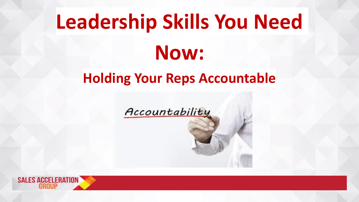# **Leadership Skills You Need Now:**

#### **Holding Your Reps Accountable**

Accountability

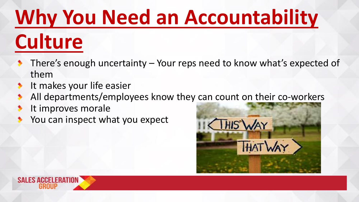## **Why You Need an Accountability**

## **Culture**

- There's enough uncertainty Your reps need to know what's expected of them
- It makes your life easier  $\blacktriangleright$
- All departments/employees know they can count on their co-workers  $\bullet$
- It improves morale ⋟
- You can inspect what you expect



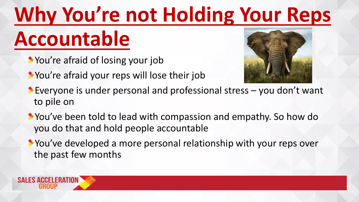# **Why You're not Holding Your Reps**

### **Accountable**

- You're afraid of losing your job
- You're afraid your reps will lose their job



- Everyone is under personal and professional stress you don't want to pile on
- You've been told to lead with compassion and empathy. So how do you do that and hold people accountable
- You've developed a more personal relationship with your reps over the past few months

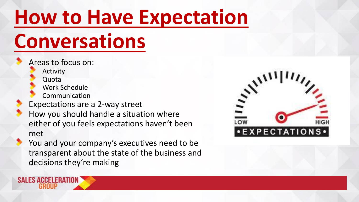#### **How to Have Expectation**

#### **Conversations**

Areas to focus on: Activity

Quota

**SALES ACCELERATION** 

Work Schedule

Communication

Expectations are a 2-way street

How you should handle a situation where either of you feels expectations haven't been met

You and your company's executives need to be transparent about the state of the business and decisions they're making

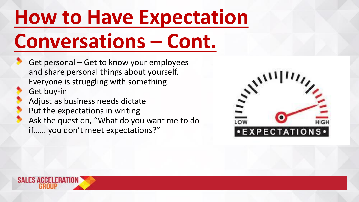### **How to Have Expectation Conversations – Cont.**

Get personal – Get to know your employees and share personal things about yourself. Everyone is struggling with something. Get buy-in Adjust as business needs dictate Put the expectations in writing Ask the question, "What do you want me to do if…… you don't meet expectations?"



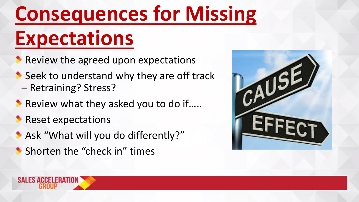# **Consequences for Missing**

#### **Expectations**

- Review the agreed upon expectations
- Seek to understand why they are off track – Retraining? Stress?
- Review what they asked you to do if.....
- **Reset expectations**
- Ask "What will you do differently?"
- **Shorten the "check in" times**



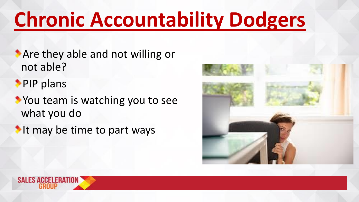#### **Chronic Accountability Dodgers**

- **Are they able and not willing or** not able?
- **PIP plans**
- You team is watching you to see what you do
- It may be time to part ways



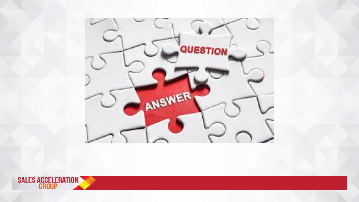